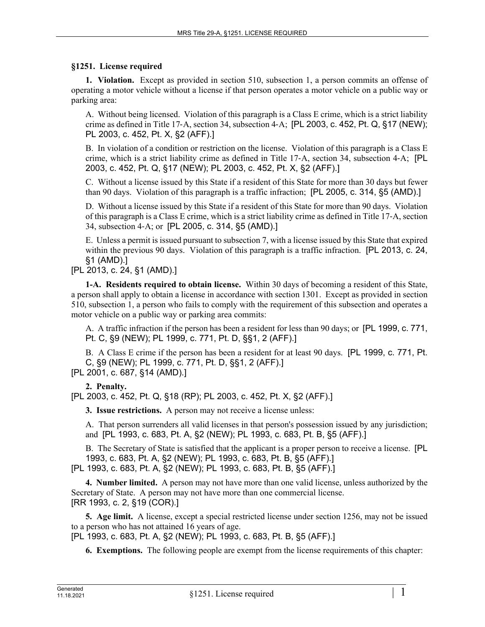## **§1251. License required**

**1. Violation.** Except as provided in section 510, subsection 1, a person commits an offense of operating a motor vehicle without a license if that person operates a motor vehicle on a public way or parking area:

A. Without being licensed. Violation of this paragraph is a Class E crime, which is a strict liability crime as defined in Title 17‑A, section 34, subsection 4‑A; [PL 2003, c. 452, Pt. Q, §17 (NEW); PL 2003, c. 452, Pt. X, §2 (AFF).]

B. In violation of a condition or restriction on the license. Violation of this paragraph is a Class E crime, which is a strict liability crime as defined in Title 17‑A, section 34, subsection 4‑A; [PL 2003, c. 452, Pt. Q, §17 (NEW); PL 2003, c. 452, Pt. X, §2 (AFF).]

C. Without a license issued by this State if a resident of this State for more than 30 days but fewer than 90 days. Violation of this paragraph is a traffic infraction; [PL 2005, c. 314, §5 (AMD).]

D. Without a license issued by this State if a resident of this State for more than 90 days. Violation of this paragraph is a Class E crime, which is a strict liability crime as defined in Title 17‑A, section 34, subsection 4‑A; or [PL 2005, c. 314, §5 (AMD).]

E. Unless a permit is issued pursuant to subsection 7, with a license issued by this State that expired within the previous 90 days. Violation of this paragraph is a traffic infraction. [PL 2013, c. 24, §1 (AMD).]

[PL 2013, c. 24, §1 (AMD).]

**1-A. Residents required to obtain license.** Within 30 days of becoming a resident of this State, a person shall apply to obtain a license in accordance with section 1301. Except as provided in section 510, subsection 1, a person who fails to comply with the requirement of this subsection and operates a motor vehicle on a public way or parking area commits:

A. A traffic infraction if the person has been a resident for less than 90 days; or [PL 1999, c. 771, Pt. C, §9 (NEW); PL 1999, c. 771, Pt. D, §§1, 2 (AFF).]

B. A Class E crime if the person has been a resident for at least 90 days. [PL 1999, c. 771, Pt. C, §9 (NEW); PL 1999, c. 771, Pt. D, §§1, 2 (AFF).]

[PL 2001, c. 687, §14 (AMD).]

**2. Penalty.** 

[PL 2003, c. 452, Pt. Q, §18 (RP); PL 2003, c. 452, Pt. X, §2 (AFF).]

**3. Issue restrictions.** A person may not receive a license unless:

A. That person surrenders all valid licenses in that person's possession issued by any jurisdiction; and [PL 1993, c. 683, Pt. A, §2 (NEW); PL 1993, c. 683, Pt. B, §5 (AFF).]

B. The Secretary of State is satisfied that the applicant is a proper person to receive a license. [PL 1993, c. 683, Pt. A, §2 (NEW); PL 1993, c. 683, Pt. B, §5 (AFF).]

[PL 1993, c. 683, Pt. A, §2 (NEW); PL 1993, c. 683, Pt. B, §5 (AFF).]

**4. Number limited.** A person may not have more than one valid license, unless authorized by the Secretary of State. A person may not have more than one commercial license. [RR 1993, c. 2, §19 (COR).]

**5. Age limit.** A license, except a special restricted license under section 1256, may not be issued to a person who has not attained 16 years of age.

[PL 1993, c. 683, Pt. A, §2 (NEW); PL 1993, c. 683, Pt. B, §5 (AFF).]

**6. Exemptions.** The following people are exempt from the license requirements of this chapter: